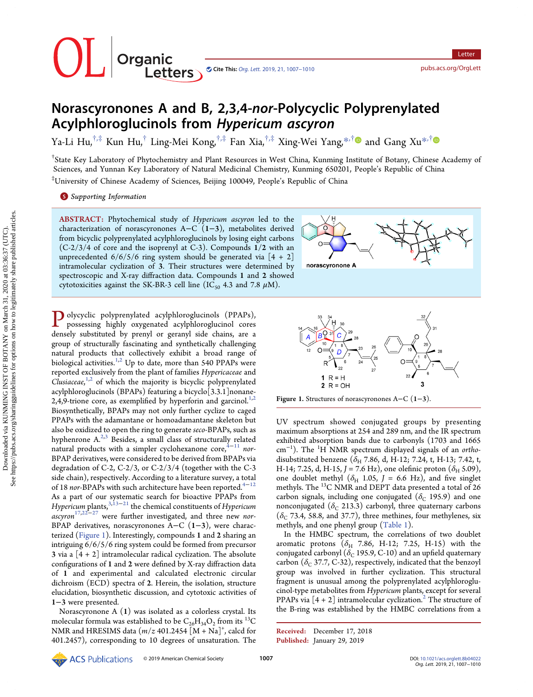| Organic<br>| Crganic<br>| Letters Cite This: Org. Lett. [2019, 21, 1007](http://pubs.acs.org/action/showCitFormats?doi=10.1021/acs.orglett.8b04022)-1010 <pubs.acs.org/OrgLett>

# Norascyronones A and B, 2,3,4-nor-Polycyclic Polyprenylated Acylphloroglucinols from Hypericum ascyron

Ya-Li Hu,<sup>†,‡</sup> Kun Hu,<sup>†</sup> Ling-Mei Kong,<sup>†,‡</sup> Fan Xia,<sup>†,‡</sup> Xing-Wei Yang,<sup>[\\*](#page-3-0),[†](#page-3-0)</sup> and Gang Xu<sup>\*,†</sup>

† State Key Laboratory of Phytochemistry and Plant Resources in West China, Kunming Institute of Botany, Chinese Academy of Sciences, and Yunnan Key Laboratory of Natural Medicinal Chemistry, Kunming 650201, People's Republic of China ‡ University of Chinese Academy of Sciences, Beijing 100049, People's Republic of China

**S** [Supporting Information](#page-3-0)

ABSTRACT: Phytochemical study of Hypericum ascyron led to the characterization of norascyronones A−C (1−3), metabolites derived from bicyclic polyprenylated acylphloroglucinols by losing eight carbons (C-2/3/4 of core and the isoprenyl at C-3). Compounds 1/2 with an unprecedented  $6/6/5/6$  ring system should be generated via  $[4 + 2]$ intramolecular cyclization of 3. Their structures were determined by spectroscopic and X-ray diffraction data. Compounds 1 and 2 showed cytotoxicities against the SK-BR-3 cell line (IC<sub>50</sub> 4.3 and 7.8  $\mu$ M).



Polycyclic polyprenylated acylphloroglucinols (PPAPs), possessing highly oxygenated acylphloroglucinol cores densely substituted by prenyl or geranyl side chains, are a group of structurally fascinating and synthetically challenging natural products that collectively exhibit a broad range of biological activities. $1,2$  Up to date, more than 540 PPAPs were reported exclusively from the plant of families Hypericaceae and Clusiaceae, $1,2}$  $1,2}$  of which the majority is bicyclic polyprenylated acylphloroglucinols (BPAPs) featuring a bicyclo[3.3.1]nonane-2,4,9-trione core, as exemplified by hyperforin and garcinol.<sup>[1](#page-3-0),[2](#page-3-0)</sup> Biosynthetically, BPAPs may not only further cyclize to caged PPAPs with the adamantane or homoadamantane skeleton but also be oxidized to open the ring to generate seco-BPAPs, such as hyphenrone  $A<sup>2,3</sup>$  Besides, a small class of structurally related natural products with a simpler cyclohexanone core, $4-11$  $4-11$  $4-11$  nor-BPAP derivatives, were considered to be derived from BPAPs via degradation of C-2, C-2/3, or C-2/3/4 (together with the C-3 side chain), respectively. According to a literature survey, a total of 18 nor-BPAPs with such architecture have been reported.<sup>[4](#page-3-0)−[12](#page-3-0)</sup> As a part of our systematic search for bioactive PPAPs from Hypericum plants,  $3,13-21$  $3,13-21$  the chemical constituents of Hypericum  $\arccos{17,22-27}$  $\arccos{17,22-27}$  $\arccos{17,22-27}$  $\arccos{17,22-27}$  $\arccos{17,22-27}$  were further investigated, and three new nor-BPAP derivatives, norascyronones A−C (1−3), were characterized (Figure 1). Interestingly, compounds 1 and 2 sharing an intriguing 6/6/5/6 ring system could be formed from precursor 3 via a  $\lceil 4 + 2 \rceil$  intramolecular radical cyclization. The absolute configurations of 1 and 2 were defined by X-ray diffraction data of 1 and experimental and calculated electronic circular dichroism (ECD) spectra of 2. Herein, the isolation, structure elucidation, biosynthetic discussion, and cytotoxic activities of 1−3 were presented.

Norascyronone A (1) was isolated as a colorless crystal. Its molecular formula was established to be  $C_{26}H_{34}O_2$  from its <sup>13</sup>C NMR and HRESIMS data  $(m/z 401.2454 [M + Na]^+$ , calcd for 401.2457), corresponding to 10 degrees of unsaturation. The



Figure 1. Structures of norascyronones A−C (1−3).

UV spectrum showed conjugated groups by presenting maximum absorptions at 254 and 289 nm, and the IR spectrum exhibited absorption bands due to carbonyls (1703 and 1665 cm<sup>-1</sup>). The <sup>1</sup>H NMR spectrum displayed signals of an orthodisubstituted benzene ( $\delta_{\rm H}$  7.86, d, H-12; 7.24, t, H-13; 7.42, t, H-14; 7.25, d, H-15, J = 7.6 Hz), one olefinic proton ( $\delta_{\rm H}$  5.09), one doublet methyl ( $\delta_H$  1.05, J = 6.6 Hz), and five singlet methyls. The <sup>13</sup>C NMR and DEPT data presented a total of 26 carbon signals, including one conjugated ( $\delta_c$  195.9) and one nonconjugated ( $\delta_c$  213.3) carbonyl, three quaternary carbons  $(\delta_C$  73.4, 58.8, and 37.7), three methines, four methylenes, six methyls, and one phenyl group ([Table 1\)](#page-1-0).

In the HMBC spectrum, the correlations of two doublet aromatic protons ( $\delta$ <sub>H</sub> 7.86, H-12; 7.25, H-15) with the conjugated carbonyl ( $\delta$ <sub>C</sub> 195.9, C-10) and an upfield quaternary carbon ( $\delta_c$  37.7, C-32), respectively, indicated that the benzoyl group was involved in further cyclization. This structural fragment is unusual among the polyprenylated acylphloroglucinol-type metabolites from Hypericum plants, except for several PPAPs via  $[4 + 2]$  $[4 + 2]$  $[4 + 2]$  intramolecular cyclization.<sup>2</sup> The structure of the B-ring was established by the HMBC correlations from a

Received: December 17, 2018 Published: January 29, 2019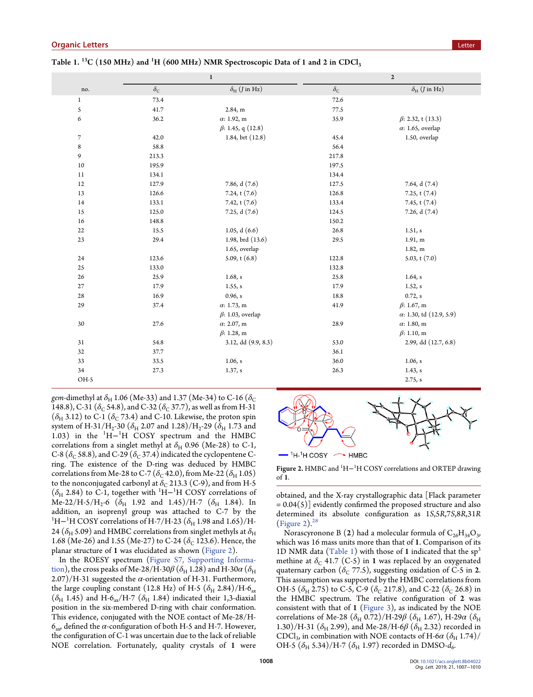|              |                  | $\bf 1$                            |                  | $\mathbf 2$                        |
|--------------|------------------|------------------------------------|------------------|------------------------------------|
| no.          | $\delta_{\rm C}$ | $\delta_{\rm H}$ ( <i>J</i> in Hz) | $\delta_{\rm C}$ | $\delta_{\rm H}$ ( <i>J</i> in Hz) |
| $\mathbf{1}$ | 73.4             |                                    | 72.6             |                                    |
| 5            | 41.7             | 2.84, m                            | 77.5             |                                    |
| 6            | 36.2             | $\alpha$ : 1.92, m                 | 35.9             | $\beta$ : 2.32, t (13.3)           |
|              |                  | $\beta$ : 1.45, q (12.8)           |                  | $\alpha$ : 1.65, overlap           |
| 7            | 42.0             | 1.84, brt (12.8)                   | 45.4             | 1.50, overlap                      |
| 8            | 58.8             |                                    | 56.4             |                                    |
| 9            | 213.3            |                                    | 217.8            |                                    |
| 10           | 195.9            |                                    | 197.5            |                                    |
| 11           | 134.1            |                                    | 134.4            |                                    |
| 12           | 127.9            | 7.86, d (7.6)                      | 127.5            | 7.64, d (7.4)                      |
| 13           | 126.6            | 7.24, t (7.6)                      | 126.8            | 7.25, $t(7.4)$                     |
| 14           | 133.1            | 7.42, $t(7.6)$                     | 133.4            | 7.45, $t(7.4)$                     |
| 15           | 125.0            | 7.25, d (7.6)                      | 124.5            | 7.26, $d(7.4)$                     |
| 16           | 148.8            |                                    | 150.2            |                                    |
| 22           | 15.5             | 1.05, $d(6.6)$                     | 26.8             | 1.51, s                            |
| 23           | 29.4             | 1.98, brd (13.6)                   | 29.5             | 1.91, m                            |
|              |                  | 1.65, overlap                      |                  | 1.82, m                            |
| 24           | 123.6            | $5.09$ , t $(6.8)$                 | 122.8            | 5.03, $t(7.0)$                     |
| 25           | 133.0            |                                    | 132.8            |                                    |
| 26           | 25.9             | 1.68, s                            | 25.8             | $1.64$ , s                         |
| 27           | 17.9             | 1.55, s                            | 17.9             | 1.52, s                            |
| 28           | 16.9             | 0.96, s                            | 18.8             | 0.72, s                            |
| 29           | 37.4             | $\alpha$ : 1.73, m                 | 41.9             | $\beta$ : 1.67, m                  |
|              |                  | $\beta$ : 1.03, overlap            |                  | $\alpha$ : 1.30, td (12.9, 5.9)    |
| 30           | 27.6             | $\alpha$ : 2.07, m                 | 28.9             | $\alpha$ : 1.80, m                 |
|              |                  | $\beta$ : 1.28, m                  |                  | $\beta$ : 1.10, m                  |
| 31           | 54.8             | 3.12, dd (9.9, 8.3)                | 53.0             | 2.99, dd (12.7, 6.8)               |
| 32           | 37.7             |                                    | 36.1             |                                    |
| 33           | 33.5             | 1.06, s                            | 36.0             | 1.06, s                            |
| 34           | 27.3             | 1.37, s                            | 26.3             | 1.43, s                            |
| OH-5         |                  |                                    |                  | 2.75, s                            |

<span id="page-1-0"></span>Table 1.  $^{13}$ C (150 MHz) and <sup>1</sup>H (600 MHz) NMR Spectroscopic Data of 1 and 2 in CDCl<sub>3</sub>

gem-dimethyl at  $\delta_H$  1.06 (Me-33) and 1.37 (Me-34) to C-16 ( $\delta_C$ 148.8), C-31 ( $\delta_{\rm C}$  54.8), and C-32 ( $\delta_{\rm C}$  37.7), as well as from H-31  $(\delta_H$  3.12) to C-1  $(\delta_C$  73.4) and C-10. Likewise, the proton spin system of H-31/H<sub>2</sub>-30 ( $\delta$ <sub>H</sub> 2.07 and 1.28)/H<sub>2</sub>-29 ( $\delta$ <sub>H</sub> 1.73 and 1.03) in the  ${}^{1}H-{}^{1}H$  COSY spectrum and the HMBC correlations from a singlet methyl at  $\delta_H$  0.96 (Me-28) to C-1, C-8 ( $\delta_c$  58.8), and C-29 ( $\delta_c$  37.4) indicated the cyclopentene Cring. The existence of the D-ring was deduced by HMBC correlations from Me-28 to C-7 ( $\delta$ <sub>C</sub> 42.0), from Me-22 ( $\delta$ <sub>H</sub> 1.05) to the nonconjugated carbonyl at  $\delta_{\rm C}$  213.3 (C-9), and from H-5  $(\delta_H 2.84)$  to C-1, together with <sup>1</sup>H–<sup>1</sup>H COSY correlations of Me-22/H-5/H<sub>2</sub>-6 ( $\delta$ <sub>H</sub> 1.92 and 1.45)/H-7 ( $\delta$ <sub>H</sub> 1.84). In addition, an isoprenyl group was attached to C-7 by the  $^1\rm H$ – $^1\rm H$  COSY correlations of H-7/H-23 ( $\delta_{\rm H}$  1.98 and 1.65)/H-24 ( $\delta_H$  5.09) and HMBC correlations from singlet methyls at  $\delta_H$ 1.68 (Me-26) and 1.55 (Me-27) to C-24 ( $\delta$ <sub>C</sub> 123.6). Hence, the planar structure of 1 was elucidated as shown (Figure 2).

In the ROESY spectrum ([Figure S7, Supporting Informa](http://pubs.acs.org/doi/suppl/10.1021/acs.orglett.8b04022/suppl_file/ol8b04022_si_001.pdf)[tion\)](http://pubs.acs.org/doi/suppl/10.1021/acs.orglett.8b04022/suppl_file/ol8b04022_si_001.pdf), the cross peaks of Me-28/H-30 $\beta$  ( $\delta_{\rm H}$  1.28) and H-30 $\alpha$  ( $\delta_{\rm H}$  $2.07$ /H-31 suggested the  $\alpha$ -orientation of H-31. Furthermore, the large coupling constant (12.8 Hz) of H-5  $(\delta_H 2.84)/H$ -6<sub>ax</sub>  $(\delta_{H}$  1.45) and H-6<sub>ax</sub>/H-7 ( $\delta_{H}$  1.84) indicated their 1,3-diaxial position in the six-membered D-ring with chair conformation. This evidence, conjugated with the NOE contact of Me-28/H- $6_{\text{av}}$  defined the  $\alpha$ -configuration of both H-5 and H-7. However, the configuration of C-1 was uncertain due to the lack of reliable NOE correlation. Fortunately, quality crystals of 1 were



Figure 2. HMBC and  ${}^{1}$ H $-{}^{1}$ H COSY correlations and ORTEP drawing  $of 1$ 

obtained, and the X-ray crystallographic data [Flack parameter  $= 0.04(5)$ ] evidently confirmed the proposed structure and also determined its absolute configuration as 1S,5R,7S,8R,31R (Figure 2). $28$ 

Norascyronone B (2) had a molecular formula of  $C_{26}H_{34}O_3$ , which was 16 mass units more than that of 1. Comparison of its 1D NMR data (Table 1) with those of 1 indicated that the  $sp^3$ methine at  $\delta_C$  41.7 (C-5) in 1 was replaced by an oxygenated quaternary carbon ( $\delta$ <sub>C</sub> 77.5), suggesting oxidation of C-5 in 2. This assumption was supported by the HMBC correlations from OH-5 ( $\delta$ <sub>H</sub> 2.75) to C-5, C-9 ( $\delta$ <sub>C</sub> 217.8), and C-22 ( $\delta$ <sub>C</sub> 26.8) in the HMBC spectrum. The relative configuration of 2 was consistent with that of 1 [\(Figure 3\)](#page-2-0), as indicated by the NOE correlations of Me-28 ( $\delta_H$  0.72)/H-29 $\beta$  ( $\delta_H$  1.67), H-29 $\alpha$  ( $\delta_H$ 1.30)/H-31 ( $\delta_{\rm H}$  2.99), and Me-28/H-6 $\beta$  ( $\delta_{\rm H}$  2.32) recorded in CDCl<sub>3</sub>, in combination with NOE contacts of H-6 $\alpha$  ( $\delta$ <sub>H</sub> 1.74)/ OH-5  $(\delta_{\rm H}$  5.34)/H-7  $(\delta_{\rm H}$  1.97) recorded in DMSO- $d_6$ .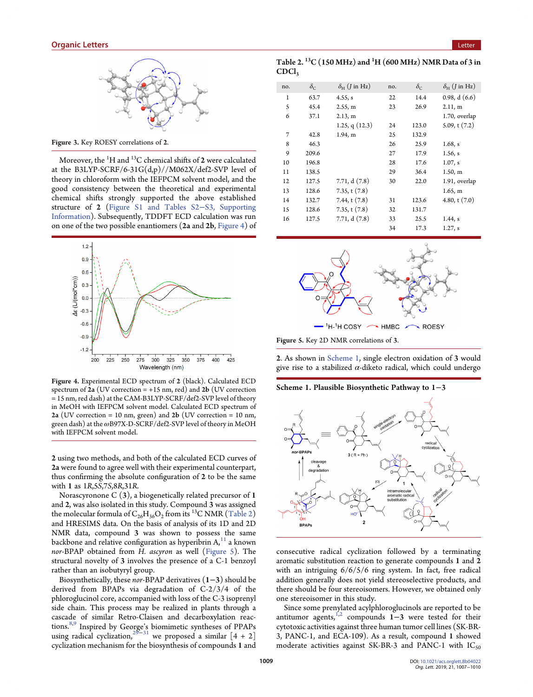<span id="page-2-0"></span>

Figure 3. Key ROESY correlations of 2.

Moreover, the  $^1\mathrm{H}$  and  $^{13}\mathrm{C}$  chemical shifts of  $\bm{2}$  were calculated at the B3LYP-SCRF/6-31G $(d,p)//M062X/def2$ -SVP level of theory in chloroform with the IEFPCM solvent model, and the good consistency between the theoretical and experimental chemical shifts strongly supported the above established structure of 2 [\(Figure S1 and Tables S2](http://pubs.acs.org/doi/suppl/10.1021/acs.orglett.8b04022/suppl_file/ol8b04022_si_001.pdf)−S3, Supporting [Information](http://pubs.acs.org/doi/suppl/10.1021/acs.orglett.8b04022/suppl_file/ol8b04022_si_001.pdf)). Subsequently, TDDFT ECD calculation was run on one of the two possible enantiomers (2a and 2b, Figure 4) of



Figure 4. Experimental ECD spectrum of 2 (black). Calculated ECD spectrum of  $2a$  (UV correction = +15 nm, red) and  $2b$  (UV correction = 15 nm, red dash) at the CAM-B3LYP-SCRF/def2-SVP level of theory in MeOH with IEFPCM solvent model. Calculated ECD spectrum of 2a (UV correction = 10 nm, green) and  $2b$  (UV correction = 10 nm, green dash) at the ωB97X-D-SCRF/def2-SVP level of theory in MeOH with IEFPCM solvent model.

2 using two methods, and both of the calculated ECD curves of 2a were found to agree well with their experimental counterpart, thus confirming the absolute configuration of 2 to be the same with 1 as 1R,5S,7S,8R,31R.

Norascyronone C (3), a biogenetically related precursor of 1 and 2, was also isolated in this study. Compound 3 was assigned the molecular formula of  $C_{26}H_{36}O_2$  from its <sup>13</sup>C NMR (Table 2) and HRESIMS data. On the basis of analysis of its 1D and 2D NMR data, compound 3 was shown to possess the same backbone and relative configuration as hyperibrin  $A<sub>i</sub><sup>11</sup>$  $A<sub>i</sub><sup>11</sup>$  $A<sub>i</sub><sup>11</sup>$  a known nor-BPAP obtained from H. ascyron as well (Figure 5). The structural novelty of 3 involves the presence of a C-1 benzoyl rather than an isobutyryl group.

Biosynthetically, these nor-BPAP derivatives (1−3) should be derived from BPAPs via degradation of C-2/3/4 of the phloroglucinol core, accompanied with loss of the C-3 isoprenyl side chain. This process may be realized in plants through a cascade of similar Retro-Claisen and decarboxylation reactions[.8,9](#page-3-0) Inspired by George's biomimetic syntheses of PPAPs using radical cyclization, $^{29-31}$  $^{29-31}$  $^{29-31}$  $^{29-31}$  $^{29-31}$  we proposed a similar  $\left[4+2\right]$ cyclization mechanism for the biosynthesis of compounds 1 and

| Table 2. $\mathrm{^{13}C}$ (150 MHz) and $\mathrm{^{1}H}$ (600 MHz) NMR Data of 3 in |  |  |
|--------------------------------------------------------------------------------------|--|--|
| <b>CDCl</b> 3                                                                        |  |  |

| no. | $\delta_{\rm C}$ | $\delta_{\rm H}$ ( <i>J</i> in Hz) | no. | $\delta_{\rm C}$ | $\delta_{\rm H}$ ( <i>J</i> in Hz) |
|-----|------------------|------------------------------------|-----|------------------|------------------------------------|
| 1   | 63.7             | 4.55, s                            | 22  | 14.4             | 0.98, d(6.6)                       |
| 5   | 45.4             | 2.55, m                            | 23  | 26.9             | 2.11, m                            |
| 6   | 37.1             | 2.13, m                            |     |                  | 1.70, overlap                      |
|     |                  | 1.25, q $(12.3)$                   | 24  | 123.0            | $5.09$ , t $(7.2)$                 |
| 7   | 42.8             | 1.94, m                            | 25  | 132.9            |                                    |
| 8   | 46.3             |                                    | 26  | 25.9             | 1.68, s                            |
| 9   | 209.6            |                                    | 27  | 17.9             | 1.56, s                            |
| 10  | 196.8            |                                    | 28  | 17.6             | $1.07$ , s                         |
| 11  | 138.5            |                                    | 29  | 36.4             | 1.50, m                            |
| 12  | 127.5            | 7.71, $d(7.8)$                     | 30  | 22.0             | 1.91, overlap                      |
| 13  | 128.6            | 7.35, t(7.8)                       |     |                  | 1.65, m                            |
| 14  | 132.7            | 7.44, t $(7.8)$                    | 31  | 123.6            | 4.80, t $(7.0)$                    |
| 15  | 128.6            | 7.35, t(7.8)                       | 32  | 131.7            |                                    |
| 16  | 127.5            | 7.71, d(7.8)                       | 33  | 25.5             | $1.44$ , s                         |
|     |                  |                                    | 34  | 17.3             | 1.27, s                            |
|     |                  |                                    |     |                  |                                    |



Figure 5. Key 2D NMR correlations of 3.

2. As shown in Scheme 1, single electron oxidation of 3 would give rise to a stabilized  $\alpha$ -diketo radical, which could undergo

#### Scheme 1. Plausible Biosynthetic Pathway to 1−3



consecutive radical cyclization followed by a terminating aromatic substitution reaction to generate compounds 1 and 2 with an intriguing 6/6/5/6 ring system. In fact, free radical addition generally does not yield stereoselective products, and there should be four stereoisomers. However, we obtained only one stereoisomer in this study.

Since some prenylated acylphloroglucinols are reported to be antitumor agents,<sup>[1](#page-3-0),[2](#page-3-0)</sup> compounds 1–3 were tested for their cytotoxic activities against three human tumor cell lines (SK-BR-3, PANC-1, and ECA-109). As a result, compound 1 showed moderate activities against SK-BR-3 and PANC-1 with  $IC_{50}$